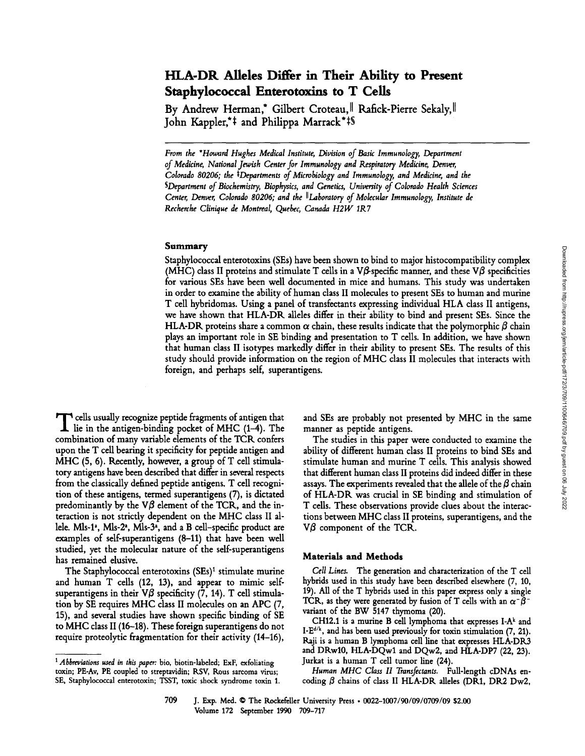# HLADR Alleles Differ in Their Ability to Present Staphylococcal Enterotoxins to T Cells

By Andrew Herman,\* Gilbert Croteau, Rafick-Pierre Sekaly, John Kappler,\*t and Philippa Marrack\*tS

From the \*Howard Hughes Medical Institute, Division of Basic Immunology, Department of Medicine, National Jewish Center for Immunology and Respiratory Medicine, Denver, Colorado 80206; the tDepartments of Microbiology and Immunology, and Medicine, and the SDepartment of Biochemistry, Biophysics, and Genetics, University of Colorado Health Sciences Center, Denver, Colorado 80206; and the  $\|$ Laboratory of Molecular Immunology, Institute de Recherche Clinique de Montreal, Quebec, Canada H2W 1R7

### Summary

Staphylococcal enterotoxins (SEs) have been shown to bind to major histocompatibility complex (MHC) class II proteins and stimulate T cells in a  $\nabla \beta$ -specific manner, and these  $\nabla \beta$  specificities for various SEs have been well documented in mice and humans. This study was undertaken in order to examine the ability of human class II molecules to present SEs to human and murine T cell hybridomas. Using <sup>a</sup> panel of transfectants expressing individual HLA class II antigens, we have shown that HLADR alleles differ in their ability to bind and present SEs . Since the HLA-DR proteins share a common  $\alpha$  chain, these results indicate that the polymorphic  $\beta$  chain plays an important role in SE binding and presentation to T cells . In addition, we have shown that human class II isotypes markedly differ in their ability to present SEs. The results of this study should provide information on the region of MHC class II molecules that interacts with foreign, and perhaps self, superantigens.

T cells usually recognize peptide fragments of antigen that<br>lie in the antigen-binding pocket of MHC (1-4). The<br>combination of many variable elements of the TCR confers combination of many variable elements of the TCR confers upon the T cell bearing it specificity for peptide antigen and MHC  $(5, 6)$ . Recently, however, a group of T cell stimulatory antigens have been described that differ in several respects from the classically defined peptide antigens. T cell recognition of these antigens, termed superantigens (7), is dictated predominantly by the  $V\beta$  element of the TCR, and the interaction is not strictly dependent on the MHC class II allele. Mls-1<sup>2</sup>, Mls-2<sup>2</sup>, Mls-3<sup>2</sup>, and a B cell-specific product are examples of self-superantigens (8-11) that have been well studied, yet the molecular nature of the self-superantigens has remained elusive.

The Staphylococcal enterotoxins  $(SEs)^1$  stimulate murine and human T cells (12, 13), and appear to mimic selfsuperantigens in their  $V\beta$  specificity (7, 14). T cell stimulation by SE requires MHC class II molecules on an APC (7, 15), and several studies have shown specific binding of SE to MHC class II (16-18). These foreign superantigens do not require proteolytic fragmentation for their activity (14-16),

and SEs are probably not presented by MHC in the same manner as peptide antigens.

The studies in this paper were conducted to examine the ability of different human class II proteins to bind SEs and stimulate human and murine T cells. This analysis showed that different human class II proteins did indeed differ in these assays. The experiments revealed that the allele of the  $\beta$  chain of HLA-DR was crucial in SE binding and stimulation of T cells. These observations provide clues about the interactions between MHC class II proteins, superantigens, and the  $V\beta$  component of the TCR.

## Materials and Methods

Cell Lines. The generation and characterization of the T cell hybrids used in this study have been described elsewhere (7, 10, 19). All of the T hybrids used in this paper express only <sup>a</sup> single TCR, as they were generated by fusion of T cells with an  $\alpha^{-}\beta^{-}$  variant of the BW 5147 thymoma (20).

CH12.1 is a murine B cell lymphoma that expresses I-A<sup>k</sup> and I-E<sup> $d/k$ </sup>, and has been used previously for toxin stimulation (7, 21). Raji is <sup>a</sup> human B lymphoma cell line that expresses HLA-DR3 and DRw10, HLA-DQwl and DQw2, and HLA-DP7 (22, 23). Jurkat is a human T cell tumor line (24).

Human MHC Class II Transfectants. Full-length cDNAs encoding  $\beta$  chains of class II HLA-DR alleles (DR1, DR2 Dw2,

 $1$  Abbreviations used in this paper: bio, biotin-labeled; ExF, exfoliating toxin; PE-Av, PE coupled to streptavidin; RSV, Rous sarcoma virus; SE, Staphylococcal enterotoxin; TSST, toxic shock syndrome toxin 1.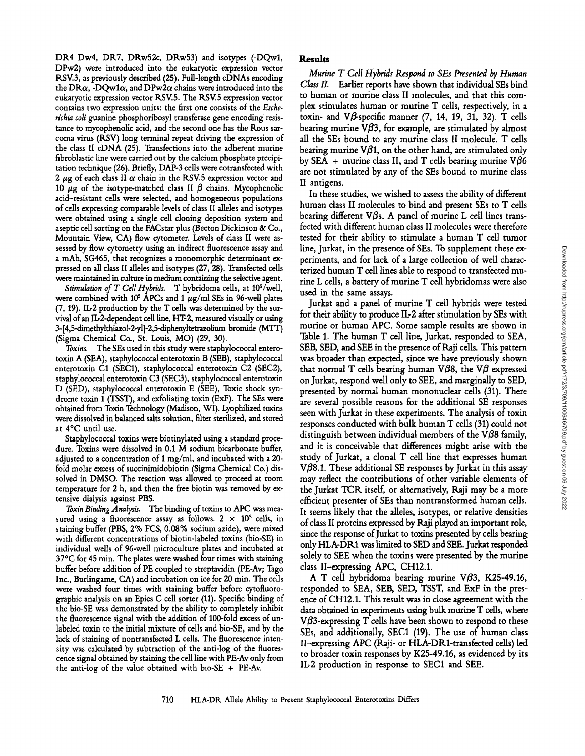DR4 Dw4, DR7, DRw52c, DRw53) and isotypes (-DQwl, DPw2) were introduced into the eukaryotic expression vector RSV3, as previously described (25) . Full-length cDNAs encoding the DR $\alpha$ , -DQw1 $\alpha$ , and DPw2 $\alpha$  chains were introduced into the eukaryotic expression vector RSV.5. The RSV.5 expression vector contains two expression units: the first one consists of the *Esche*richia coli guanine phosphoribosyl transferase gene encoding resistance to mycophenolic acid, and the second one has the Rous sarcoma virus (RSV) long terminal repeat driving the expression of the class II cDNA (25) . Transfections into the adherent murine fibroblastic line were carried out by the calcium phosphate precipitation technique (26) . Briefly, DAP-3 cells were cotransfected with 2  $\mu$ g of each class II  $\alpha$  chain in the RSV.5 expression vector and 10  $\mu$ g of the isotype-matched class II  $\beta$  chains. Mycophenolic acid-resistant cells were selected, and homogeneous populations of cells expressing comparable levels of class II alleles and isotypes were obtained using a single cell cloning deposition system and aseptic cell sorting on the FACstar plus (Becton Dickinson & Co., Mountain View, CA) flow cytometer. Levels of class II were assessed by flow cytometry using an indirect fluorescence assay and <sup>a</sup> mAb, SG465, that recognizes a monomorphic determinant expressed on all class II alleles and isotypes (27, 28) . Transfected cells were maintained in culture in medium containing the selective agent.

Stimulation of T Cell Hybrids. T hybridoma cells, at  $10^5$ /well, were combined with  $10^5$  APCs and  $1 \mu g/ml$  SEs in 96-well plates (7, 19) . IL2 production by the T cells was determined by the survival of an 11,2-dependent cell line, HT2, measured visually or using 3-[4,5-dimethylthiazol-2yll-2,5-diphenyltetrazolium bromide (MTT) (Sigma Chemical Co., St. Louis, MO) (29, 30).

Toxins. The SEs used in this study were staphylococcal enterotoxin A (SEA), staphylococcal enterotoxin B (SEB), staphylococcal enterotoxin C1 (SEC1), staphylococcal enterotoxin C2 (SEC2), staphylococcal enterotoxin C3 (SEC3), staphylococcal enterotoxin D (SED), staphylococcal enterotoxin E (SEE), Toxic shock syndrome toxin 1 (TSST), and exfoliating toxin (ExF). The SEs were obtained from Toxin Technology (Madison, WI). Lyophilized toxins were dissolved in balanced salts solution, filter sterilized, and stored at 4°C until use.

Staphylococcal toxins were biotinylated using a standard procedure. Toxins were dissolved in 0.1 M sodium bicarbonate buffer, adjusted to <sup>a</sup> concentration of <sup>1</sup> mg/ml, and incubated with a 20 fold molar excess of succinimidobiotin (Sigma Chemical Co.) dissolved in DMSO. The reaction was allowed to proceed at room temperature for 2 h, and then the free biotin was removed by extensive dialysis against PBS.

Toxin Binding Analysis. The binding of toxins to APC was measured using a fluorescence assay as follows.  $2 \times 10^5$  cells, in staining buffer (PBS, 2% FCS, 0.08% sodium azide), were mixed with different concentrations of biotin-labeled toxins (bio-SE) in individual wells of 96-well microculture plates and incubated at 37°C for 45 min. The plates were washed four times with staining buffer before addition of PE coupled to streptavidin (PE-Av; Tago Inc., Burlingame, CA) and incubation on ice for 20 min. The cells were washed four times with staining buffer before cytofluorographic analysis on an Epics C cell sorter (11) . Specific binding of the bio-SE was demonstrated by the ability to completely inhibit the fluorescence signal with the addition of 100-fold excess of unlabeled toxin to the initial mixture of cells and bio-SE, and by the lack of staining of nontransfected L cells. The fluorescence intensity was calculated by subtraction of the anti-log of the fluorescence signal obtained by staining the cell line with PE-Av only from the anti-log of the value obtained with bio-SE + PE-Av.

### Results

Murine T Cell Hybrids Respond to SEs Presented by Human Class II. Earlier reports have shown that individual SEs bind to human or murine class II molecules, and that this complex stimulates human or murine T cells, respectively, in <sup>a</sup> toxin- and V $\beta$ -specific manner (7, 14, 19, 31, 32). T cells bearing murine  $V\beta3$ , for example, are stimulated by almost all the SEs bound to any murine class <sup>11</sup> molecule . T cells bearing murine  $V\beta1$ , on the other hand, are stimulated only by SEA + murine class II, and T cells bearing murine  $V\beta 6$ are not stimulated by any of the SEs bound to murine class II antigens.

In these studies, we wished to assess the ability of different human class II molecules to bind and present SEs to T cells bearing different  $V\beta s$ . A panel of murine L cell lines transfected with different human class II molecules were therefore tested for their ability to stimulate a human T cell tumor line, Jurkat, in the presence of SEs. To supplement these experiments, and for lack of <sup>a</sup> large collection of well characterized human T cell lines able to respond to transfected murine L cells, <sup>a</sup> battery of murine T cell hybridomas were also used in the same assays.

Jurkat and <sup>a</sup> panel of murine T cell hybrids were tested for their ability to produce 11,2 after stimulation by SEs with murine or human APC. Some sample results are shown in Table 1. The human T cell line, Jurkat, responded to SEA, SEB, SED, and SEE in the presence of Raji cells. This pattern was broader than expected, since we have previously shown that normal T cells bearing human V $\beta$ 8, the V $\beta$  expressed on Jurkat, respond well only to SEE, and marginally to SED, presented by normal human mononuclear cells (31) . There are several possible reasons for the additional SE responses seen with Jurkat in these experiments. The analysis of toxin responses conducted with bulk human T cells (31) could not distinguish between individual members of the  $V\beta8$  family, and it is conceivable that differences might arise with the study of Jurkat, <sup>a</sup> clonal T cell line that expresses human V $\beta$ 8.1. These additional SE responses by Jurkat in this assay may reflect the contributions of other variable elements of the Jurkat TCR itself, or alternatively, Raji may be <sup>a</sup> more efficient presenter of SEs than nontransformed human cells . It seems likely that the alleles, isotypes, or relative densities of class II proteins expressed by Raji played an important role, since the response of Jurkat to toxins presented by cells bearing only HLADRl was limited to SED and SEE. Jurkat responded solely to SEE when the toxins were presented by the murine class II-expressing APC, CH12.1.

A T cell hybridoma bearing murine V $\beta$ 3, K25-49.16, responded to SEA, SEB, SED, TSST, and ExF in the presence ofCH12.1 . This result was in close agreement with the data obtained in experiments using bulk murine T cells, where  $V\beta$ 3-expressing T cells have been shown to respond to these SEs, and additionally, SECT (19) . The use of human class 11--expressing APC (Raji- or HLA-DRl-transfected cells) led to broader toxin responses by K25-49.16, as evidenced by its IL-2 production in response to SEC1 and SEE.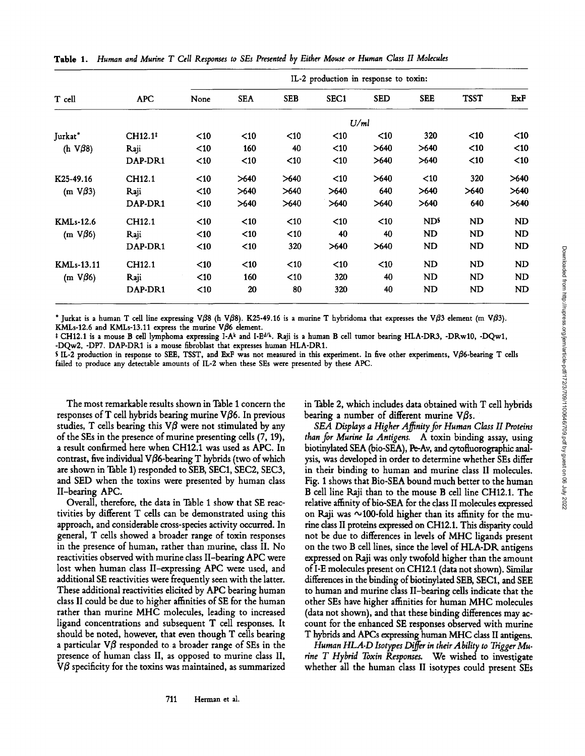| T cell                              | <b>APC</b>          | IL-2 production in response to toxin: |            |            |        |            |            |             |           |  |
|-------------------------------------|---------------------|---------------------------------------|------------|------------|--------|------------|------------|-------------|-----------|--|
|                                     |                     | None                                  | <b>SEA</b> | <b>SEB</b> | SEC1   | <b>SED</b> | <b>SEE</b> | <b>TSST</b> | ExF       |  |
|                                     |                     | U/ml                                  |            |            |        |            |            |             |           |  |
| Jurkat*<br>(h V $\beta$ 8)          | CH12.1 <sup>‡</sup> | $<$ 10                                | $10$       | $10$       | $10$   | $10$       | 320        | $<$ 10      | $10$      |  |
|                                     | Raji                | $10$                                  | 160        | 40         | $10$   | >640       | >640       | $10$        | $10$      |  |
|                                     | DAP-DR1             | $<$ 10                                | $10$       | $<$ 10     | $<$ 10 | >640       | >640       | $<$ 10      | $<$ 10    |  |
| K25-49.16<br>(m $V\beta 3$ )        | CH12.1              | $10$                                  | >640       | >640       | < 10   | >640       | $<$ 10     | 320         | >640      |  |
|                                     | Raji                | $<$ 10                                | >640       | >640       | >640   | 640        | >640       | >640        | >640      |  |
|                                     | DAP-DR1             | $10$                                  | >640       | >640       | >640   | >640       | >640       | 640         | >640      |  |
| <b>KMLs-12.6</b><br>(m $V\beta$ 6)  | CH12.1              | $10$                                  | $10$       | $10$       | $10$   | $<$ 10     | <b>NDS</b> | <b>ND</b>   | <b>ND</b> |  |
|                                     | Raji                | $<$ 10                                | $10$       | $10$       | 40     | 40         | ND         | ND          | <b>ND</b> |  |
|                                     | DAP-DR1             | $<$ 10                                | $10$       | 320        | >640   | >640       | <b>ND</b>  | <b>ND</b>   | <b>ND</b> |  |
| <b>KMLs-13.11</b><br>(m $V\beta$ 6) | CH12.1              | $10$                                  | $10$       | <10        | $<$ 10 | $10$       | ND         | <b>ND</b>   | <b>ND</b> |  |
|                                     | Raji                | $10$                                  | 160        | $<$ 10     | 320    | 40         | ND.        | <b>ND</b>   | <b>ND</b> |  |
|                                     | DAP-DR1             | $<$ 10                                | 20         | 80         | 320    | 40         | ND         | <b>ND</b>   | ND        |  |

Table 1. Human and Murine T Cell Responses to SEs Presented by Either Mouse or Human Class II Molecules

\* Jurkat is a human T cell line expressing V $\beta$ 8 (h V $\beta$ 8). K25-49.16 is a murine T hybridoma that expresses the V $\beta$ 3 element (m V $\beta$ 3). KMLs-12.6 and KMLs-13.11 express the murine V $\beta$ 6 element.

<sup>t</sup> CH12.1 is <sup>a</sup> mouse B cell lymphoma expressing I-Ak and I-Ed1k . Raji is <sup>a</sup> human B cell tumor bearing HLA-DR3, -DRw10, -DQwl, -DQw2, -DP7 . DAP-DR1 is <sup>a</sup> mouse fibroblast that expresses human HLA-DRI.

S IL-2 production in response to SEE, TSST, and ExF was not measured in this experiment. In five other experiments, V $\beta$ 6-bearing T cells failed to produce any detectable amounts of IL-2 when these SEs were presented by these APC.

The most remarkable results shown in Table <sup>1</sup> concern the responses of  $T$  cell hybrids bearing murine V $\beta$ 6. In previous studies, T cells bearing this  $\nabla\beta$  were not stimulated by any of the SEs in the presence of murine presenting cells (7, 19), <sup>a</sup> result confirmed here when CH12.1 was used as APC. In contrast, five individual V $\beta$ 6-bearing T hybrids (two of which are shown in Table 1) responded to SEB, SECT, SEC2, SEC3, and SED when the toxins were presented by human class II-bearing APC.

Overall, therefore, the data in Table <sup>1</sup> show that SE reactivities by different T cells can be demonstrated using this approach, and considerable cross-species activity occurred. In general, T cells showed <sup>a</sup> broader range of toxin responses in the presence of human, rather than murine, class II . No reactivities observed with murine class II-bearing APC were lost when human class II-expressing APC were used, and additional SE reactivities were frequently seen with the latter. These additional reactivities elicited by APC bearing human class II could be due to higher affinities of SE for the human rather than murine MHC molecules, leading to increased ligand concentrations and subsequent T cell responses. It should be noted, however, that even though T cells bearing a particular  $V\beta$  responded to a broader range of SEs in the presence of human class II, as opposed to murine class II,  $V\beta$  specificity for the toxins was maintained, as summarized

in Table 2, which includes data obtained with T cell hybrids bearing a number of different murine  $\nabla\beta$ s.

SEA Displays <sup>a</sup> Higher Affinity for Human Class II Proteins than for Murine Ia Antigens. A toxin binding assay, using biotinylated SEA (bio-SEA), Pe-Av, and cytofluorographic analysis, was developed in order to determine whether SEs differ in their binding to human and murine class II molecules. Fig. 1 shows that Bio-SEA bound much better to the human B cell line Raji than to the mouse B cell line CH12.1 . The relative affinity of bio-SEA for the class II molecules expressed on Raji was  $\sim$ 100-fold higher than its affinity for the murine class II proteins expressed on CH12.1. This disparity could not be due to differences in levels of MHC ligands present on the two B cell lines, since the level of HLA-DR antigens expressed on Raji was only twofold higher than the amount of I-E molecules present on CH12.1(data not shown) . Similar differences in the binding of biotinylated SEB, SEC1, and SEE to human and murine class II-bearing cells indicate that the other SEs have higher affinities for human MHC molecules (data not shown), and that these binding differences may account for the enhanced SE responses observed with murine T hybrids and APCs expressing human MHC class II antigens.

Human HLA-D Isotypes Differ in their Ability to Trigger Murine T Hybrid Toxin Responses. We wished to investigate whether all the human class II isotypes could present SEs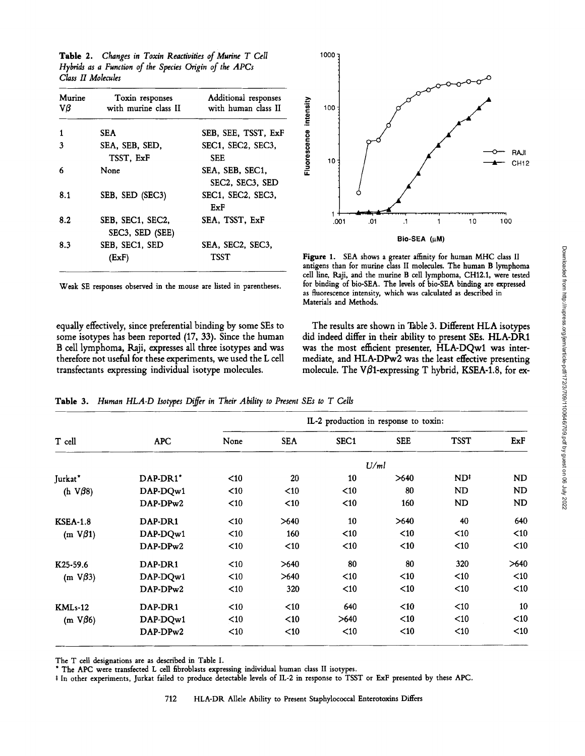Table 2. Changes in Toxin Reactivities of Murine T Cell Hybrids as <sup>a</sup> Function of the Species Origin of the APCs Class II Molecules

| Murine<br>Vβ | Toxin responses<br>with murine class II | Additional responses<br>with human class II |
|--------------|-----------------------------------------|---------------------------------------------|
|              | <b>SEA</b>                              | SEB, SEE, TSST, ExF                         |
| 3            | SEA, SEB, SED,<br>TSST. ExF             | SEC1, SEC2, SEC3,<br><b>SEE</b>             |
| 6            | None                                    | SEA, SEB, SEC1,<br>SEC2, SEC3, SED          |
| 8.1          | SEB, SED (SEC3)                         | SEC1, SEC2, SEC3,<br>ExF                    |
| 8.2          | SEB. SEC1, SEC2.<br>SEC3, SED (SEE)     | SEA, TSST, ExF                              |
| 8.3          | SEB, SEC1, SED<br>(ExF)                 | SEA, SEC2, SEC3,<br><b>TSST</b>             |



equally effectively, since preferential binding by some SEs to some isotypes has been reported (17, 33). Since the human B cell lymphoma, Raji, expresses all three isotypes and was therefore not useful for these experiments, we used the L cell transfectants expressing individual isotype molecules.



Figure 1. SEA shows <sup>a</sup> greater affinity for human MHC class Il antigens than for murine class II molecules. The human B lymphoma cell line, Raji, and the murine B cell lymphoma, CH12.1, were tested for binding of bio-SEA. The levels of bio-SEA binding are expressed as fluorescence intensity, which was calculated as described in Materials and Methods.

The results are shown in Table 3. Different HLA isotypes did indeed differ in their ability to present SEs. HLA-DR1 was the most efficient presenter, HLA-DQw1 was intermediate, and HLADPw2 was the least effective presenting molecule. The V $\beta$ 1-expressing T hybrid, KSEA-1.8, for ex-

IL-2 production in response to toxin: T cell APC None SEA SEC1 SEE TSST ExF U/ml Jurkat' DAP-DR1" <10 20 10 >640 NDt ND (h V $\beta$ 8) DAP-DQw1 <10 <10 <10 <10 90 ND ND DAP-DPw2 <10 <10 <10 <sup>160</sup> ND ND KSEA-1.8 DAP-DR1 <10  $\times$ 640 10  $\times$ 640 40 640 (m V $\beta$ 1) DAP-DQw1 <10 160 <10 <10 <10 <10 DAP-DPw2 <10 <10 <10 <10 <10 <10 K25-59.6 DAP-DR1  $\lt 10$   $\gt 640$  80 80 320  $\gt 640$ (m V03) DAP-DQwl <10 >640 <10 <10 <10 <10 DAP-DPw2 <10 320 <10 <10 <10 <10 KMLs-12 DAP-DR1 <10 <10 <sup>640</sup> <10 <10 <sup>10</sup> (m Vβ6) DAP-DQw1 <10 <10 >640 <10 <10 <10 DAP-DPw2 <10 <10 <10 <10 <10 <10

Table 3. Human HLA-D Isotypes Differ in Their Ability to Present SEs to T Cells

<sup>t</sup> In other experiments, Jurkat failed to produce detectable levels of IL-2 in response to TSST or ExF presented by these APC.

The T cell designations are as described in Table I. ' The APC were transfected L cell fibroblasts expressing individual human class II isotypes .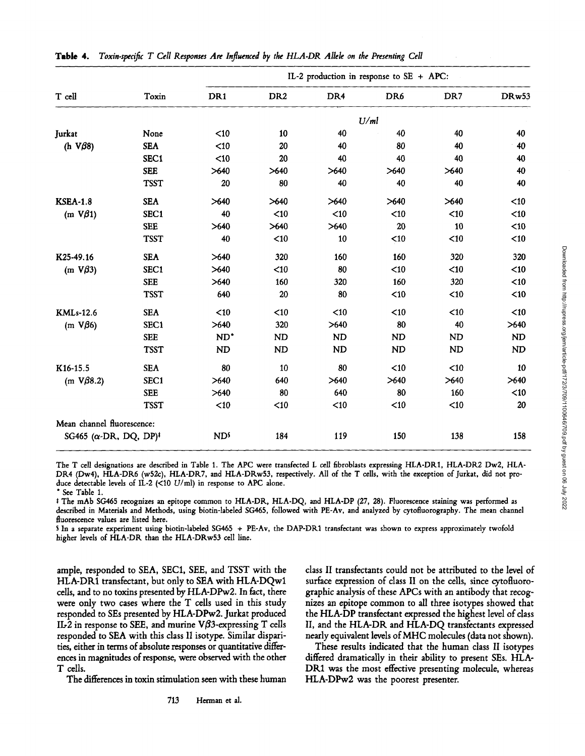| T cell                                     | Toxin       | IL-2 production in response to $SE + APC$ : |                 |                 |           |           |           |  |  |
|--------------------------------------------|-------------|---------------------------------------------|-----------------|-----------------|-----------|-----------|-----------|--|--|
|                                            |             | DR1                                         | DR <sub>2</sub> | DR <sub>4</sub> | DR6       | DR7       | DRw53     |  |  |
|                                            |             | U/ml                                        |                 |                 |           |           |           |  |  |
| Jurkat                                     | None        | $<$ 10                                      | 10              | 40              | 40        | 40        | 40        |  |  |
| (h $V\beta8$ )                             | <b>SEA</b>  | $<$ 10                                      | 20              | 40              | 80        | 40        | 40        |  |  |
|                                            | SEC1        | $<$ 10                                      | 20              | 40              | 40        | 40        | 40        |  |  |
|                                            | <b>SEE</b>  | >640                                        | >640            | >640            | >640      | >640      | 40        |  |  |
|                                            | <b>TSST</b> | 20                                          | 80              | 40              | 40        | 40        | 40        |  |  |
| <b>KSEA-1.8</b>                            | <b>SEA</b>  | >640                                        | >640            | >640            | >640      | >640      | $<$ 10    |  |  |
| (m $V\beta$ 1)                             | SEC1        | 40                                          | $<$ 10          | $<$ 10          | $<$ 10    | $<$ 10    | $<$ 10    |  |  |
|                                            | <b>SEE</b>  | >640                                        | >640            | >640            | 20        | 10        | $10$      |  |  |
|                                            | <b>TSST</b> | 40                                          | $<$ 10          | 10              | $<$ 10    | $<$ 10    | $<$ 10    |  |  |
| K25-49.16                                  | <b>SEA</b>  | >640                                        | 320             | 160             | 160       | 320       | 320       |  |  |
| (m $V(33)$                                 | SEC1        | >640                                        | $<$ 10          | 80              | $<$ 10    | $<$ 10    | $<$ 10    |  |  |
|                                            | <b>SEE</b>  | >640                                        | 160             | 320             | 160       | 320       | $<$ 10    |  |  |
|                                            | <b>TSST</b> | 640                                         | 20              | 80              | $10$      | $<$ 10    | $10$      |  |  |
| <b>KMLs-12.6</b>                           | <b>SEA</b>  | $<$ 10                                      | $<$ 10          | $<$ 10          | $<$ 10    | $<$ 10    | $<$ 10    |  |  |
| $(m V\beta6)$                              | SEC1        | >640                                        | 320             | >640            | 80        | 40        | >640      |  |  |
|                                            | <b>SEE</b>  | $ND^*$                                      | <b>ND</b>       | <b>ND</b>       | <b>ND</b> | <b>ND</b> | <b>ND</b> |  |  |
|                                            | <b>TSST</b> | <b>ND</b>                                   | <b>ND</b>       | <b>ND</b>       | <b>ND</b> | <b>ND</b> | <b>ND</b> |  |  |
| K16-15.5                                   | <b>SEA</b>  | 80                                          | 10              | 80              | $<$ 10    | $<$ 10    | 10        |  |  |
| (m $V\beta8.2$ )                           | SEC1        | >640                                        | 640             | >640            | >640      | >640      | >640      |  |  |
|                                            | <b>SEE</b>  | >640                                        | 80              | 640             | 80        | 160       | $<$ 10    |  |  |
|                                            | <b>TSST</b> | $<$ 10                                      | $<$ 10          | $<$ 10          | $<$ 10    | $<$ 10    | 20        |  |  |
| Mean channel fluorescence:                 |             |                                             |                 |                 |           |           |           |  |  |
| SG465 ( $\alpha$ -DR, DQ, DP) <sup>‡</sup> |             | <b>ND</b>                                   | 184             | 119             | 150       | 138       | 158       |  |  |

Table 4. Toxin-specific T Cell Responses Are Influenced by the HLA-DR Allele on the Presenting Cell

The T cell designations are described in Table 1. The APC were transfected L cell fibroblasts expressing HLA-DR1, HLA-DR2 Dw2, HLA-DR4 (Dw4), HLA-DR6 (w52c), HLA-DR7, and HLA-DRw53, respectively . All of the T cells, with the exception of Jurkat, did not produce detectable levels of IL-2 (<10  $U/m$ l) in response to APC alone.

See Table <sup>1</sup> .

<sup>t</sup> The mAb SG465 recognizes an epitope common to HLA-DR, HLA-DQ, and HLA-DP (27, 28). Fluorescence staining was performed as described in Materials and Methods, using biotin-labeled SG465, followed with PE-Av, and analyzed by cytofluorography . The mean channel fluorescence values are listed here.

<sup>S</sup> In <sup>a</sup> separate experiment using biotin-labeled SG465 + PE-Av, the DAP-DR1 transfectant was shown to express approximately twofold higher levels of HLA-DR than the HLA-DRw53 cell line.

ample, responded to SEA, SECT, SEE, and TSST with the HLA-DR1 transfectant, but only to SEA with HLA-DQw1 cells, and to no toxins presented by HLA-DPw2. In fact, there were only two cases where the T cells used in this study responded to SEs presented by HLA-DPw2. Jurkat produced IL-2 in response to SEE, and murine  $V\beta$ 3-expressing T cells responded to SEA with this class Il isotype. Similar disparities, either in terms of absolute responses or quantitative differences in magnitudes of response, were observed with the other T cells.

The differences in toxin stimulation seen with these human

class II transfectants could not be attributed to the level of surface expression of class II on the cells, since cytofluorographic analysis of these APCs with an antibody that recognizes an epitope common to all three isotypes showed that the HLA-DP transfectant expressed the highest level of class II, and the HLA-DR and HLA-DQ transfectants expressed nearly equivalent levels of MHC molecules (data not shown).

These results indicated that the human class II isotypes differed dramatically in their ability to present SEs. HLA-DR1 was the most effective presenting molecule, whereas HLA-DPw2 was the poorest presenter.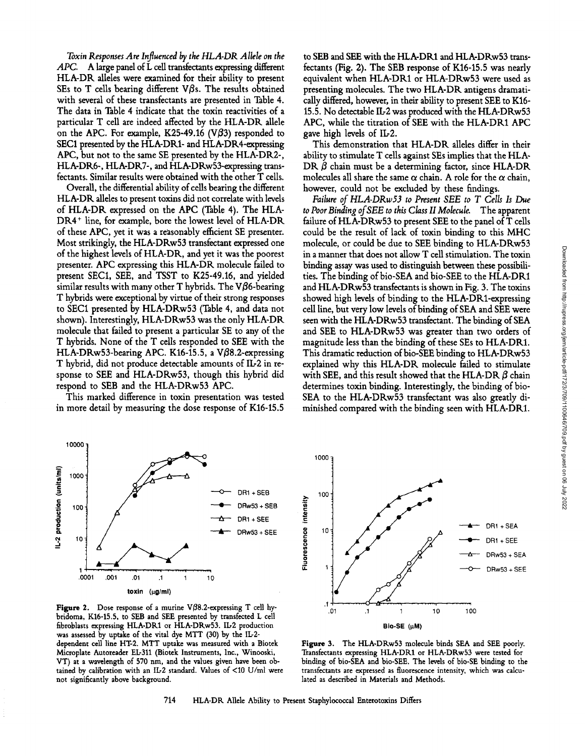Toxin Responses Are Influenced by the HLA-DR Allele on the APC. A large panel of L cell transfectants expressing different HLADR alleles were examined for their ability to present SEs to T cells bearing different V $\beta$ s. The results obtained with several of these transfectants are presented in Table 4. The data in Table 4 indicate that the toxin reactivities of a particular T cell are indeed affected by the HLA-DR allele on the APC. For example, K25-49.16 (V $\beta$ 3) responded to SEC1 presented by the HLA-DR1- and HLA-DR4-expressing APC, but not to the same SE presented by the HLADR2-, HLADR6-, HLADR7-, and HLADRw53-expressing transfectants. Similar results were obtained with the other T cells .

Overall, the differential ability of cells bearing the different HLA-DR alleles to present toxins did not correlate with levels of HLA-DR expressed on the APC (Table 4). The HLA-DR4+ line, for example, bore the lowest level of HLA-DR of these APC, yet it was a reasonably efficient SE presenter . Most strikingly, the HLA-DRw53 transfectant expressed one of the highest levels of HLA-DR, and yet it was the poorest presenter. APC expressing this HLA-DR molecule failed to present SEC1, SEE, and TSST to K25-49 .16, and yielded similar results with many other  $T$  hybrids. The V $\beta$ 6-bearing T hybrids were exceptional by virtue of their strong responses to SECT presented by HLA-DRw53 (Table 4, and data not shown). Interestingly, HLA-DRw53 was the only HLA-DR molecule that failed to present <sup>a</sup> particular SE to any of the T hybrids. None of the T cells responded to SEE with the HLA-DRw53-bearing APC. K16-15.5, a  $V\beta8.2$ -expressing T hybrid, did not produce detectable amounts of IL2 in response to SEE and HLA-DRw53, though this hybrid did respond to SEB and the HLA-DRw53 APC.

This marked difference in toxin presentation was tested in more detail by measuring the dose response of K16-15 .5

to SEB and SEE with the HLA-DR1 and HLA-DRw53 transfectants (Fig. 2). The SEB response of K16-15.5 was nearly equivalent when HLADR1 or HLA-DRw53 were used as presenting molecules. The two HLA-DR antigens dramatically differed, however, in their ability to present SEE to K16- 15.5. No detectable IL-2 was produced with the HLA-DRw53 APC, while the titration of SEE with the HLADR1 APC gave high levels of IL-2.

This demonstration that HLA-DR alleles differ in their ability to stimulate T cells against SEs implies that the HLA-DR  $\beta$  chain must be a determining factor, since HLA-DR molecules all share the same  $\alpha$  chain. A role for the  $\alpha$  chain, however, could not be excluded by these findings.

Failure of HLA-DRw53 to Present SEE to T Cells Is Due to Poor Binding of SEE to this Class II Molecule. The apparent failure of HLA-DRw53 to present SEE to the panel of T cells could be the result of lack of toxin binding to this MHC molecule, or could be due to SEE binding to HLA-DRw53 in <sup>a</sup> manner that does not allow T cell stimulation. The toxin binding assay was used to distinguish between these possibilities. The binding of bio-SEA and bio-SEE to the HLA-DR1 and HLA-DRw53 transfectants is shown in Fig. 3. The toxins showed high levels of binding to the HLA-DR1-expressing cell line, but very low levels of binding of SEA and SEE were seen with the HLA-DRw53 transfectant. The binding of SEA and SEE to HLA-DRw53 was greater than two orders of magnitude less than the binding of these SEs to HLADR1. This dramatic reduction of bio-SEE binding to HLADRw53 explained why this HLADR molecule failed to stimulate with SEE, and this result showed that the HLA-DR  $\beta$  chain determines toxin binding. Interestingly, the binding of bio-SEA to the HLA-DRw53 transfectant was also greatly diminished compared with the binding seen with HLA-DR1.





Figure 2. Dose response of a murine V $\beta$ 8.2-expressing T cell hybridoma, K16-15 .5, to SEB and SEE presented by transfected L cell fibroblasts expressing HLA-DRI or HLA-DRw53. IL2 production was assessed by uptake of the vital dye MTT (30) by the IL-2dependent cell line HT2. MTT uptake was measured with <sup>a</sup> Biotek Microplate Autoreader EL-311 (Biotek Instruments, Inc., Winooski, VT) at <sup>a</sup> wavelength of 570 nm, and the values given have been obtained by calibration with an IL-2 standard. Values of  $\leq$ 10 U/ml were not significantly above background.



Figure 3. The HLA-DRw53 molecule binds SEA and SEE poorly. Transfectants expressing HLA-DR1 or HLA-DRw53 were tested for binding of bio-SEA and bio-SEE. The levels of bio-SE binding to the transfectants are expressed as fluorescence intensity, which was calculated as described in Materials and Methods.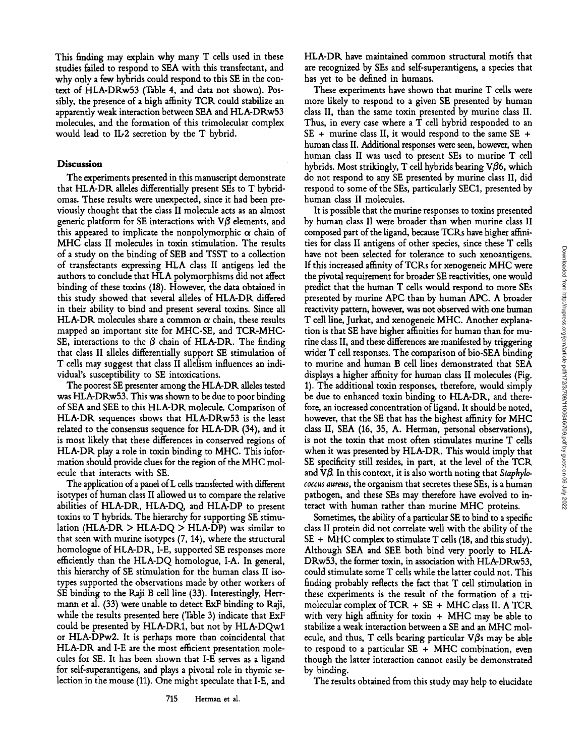This finding may explain why many T cells used in these studies failed to respond to SEA with this transfectant, and why only <sup>a</sup> few hybrids could respond to this SE in the context of HLA-DRw53 (Table 4, and data not shown) . Possibly, the presence of <sup>a</sup> high affinity TCR could stabilize an apparently weak interaction between SEA and HLADRw53 molecules, and the formation of this trimolecular complex would lead to IL-2 secretion by the T hybrid.

#### Discussion

The experiments presented in this manuscript demonstrate that HLA-DR alleles differentially present SEs to T hybridomas. These results were unexpected, since it had been previously thought that the class II molecule acts as an almost generic platform for SE interactions with  $\nabla\beta$  elements, and this appeared to implicate the nonpolymorphic  $\alpha$  chain of MHC class II molecules in toxin stimulation. The results of <sup>a</sup> study on the binding of SEB and TSST to a collection of transfectants expressing HLA class II antigens led the authors to conclude that HLA polymorphisms did not affect binding of these toxins (18) . However, the data obtained in this study showed that several alleles of HLADR differed in their ability to bind and present several toxins. Since all HLA-DR molecules share a common  $\alpha$  chain, these results mapped an important site for MHC-SE, and TCR-MHC-SE, interactions to the  $\beta$  chain of HLA-DR. The finding that class II alleles differentially support SE stimulation of T cells may suggest that class II allelism influences an individual's susceptibility to SE intoxications.

The poorest SE presenter among the HLADR alleles tested was HLA-DRw53. This was shown to be due to poor binding of SEA and SEE to this HLA-DR molecule . Comparison of HLA-DR sequences shows that HLA-DRw53 is the least related to the consensus sequence for HLA-DR (34), and it is most likely that these differences in conserved regions of HLA-DR play <sup>a</sup> role in toxin binding to MHC. This information should provide clues for the region of the MHC molecule that interacts with SE.

The application of a panel of L cells transfected with different isotypes of human class II allowed us to compare the relative abilities of HLADR, HLA-DQ, and HLADP to present toxins to T hybrids . The hierarchy for supporting SE stimulation (HLA-DR > HLA-DQ > HLA-DP) was similar to that seen with murine isotypes (7, 14), where the structural homologue of HLA-DR, I-E, supported SE responses more efficiently than the HLA-DQ homologue, I-A . In general, this hierarchy of SE stimulation for the human class II isotypes supported the observations made by other workers of SE binding to the Raji B cell line (33) . Interestingly, Herrmann et al. (33) were unable to detect ExF binding to Raji, while the results presented here (Table 3) indicate that ExF could be presented by HLA-DR1, but not by HLA-DQw1 or HLA-DPw2. It is perhaps more than coincidental that HLADR and I-E are the most efficient presentation molecules for SE. It has been shown that I-E serves as <sup>a</sup> ligand for self-superantigens, and plays <sup>a</sup> pivotal role in thymic selection in the mouse (11) . One might speculate that I-E, and

HLA-DR have maintained common structural motifs that are recognized by SEs and self-superantigens, <sup>a</sup> species that has yet to be defined in humans.

These experiments have shown that murine T cells were more likely to respond to <sup>a</sup> given SE presented by human class II, than the same toxin presented by murine class II . Thus, in every case where <sup>a</sup> T cell hybrid responded to an  $SE$  + murine class II, it would respond to the same  $SE$  + human class II. Additional responses were seen, however, when human class II was used to present SEs to murine T cell hybrids. Most strikingly, T cell hybrids bearing V $\beta$ 6, which do not respond to any SE presented by murine class II, did respond to some of the SEs, particularly SEC1, presented by human class II molecules.

It is possible that the murine responses to toxins presented by human class II were broader than when murine class II composed part of the ligand, because TCRs have higher affinities for class II antigens of other species, since these T cells have not been selected for tolerance to such xenoantigens. If this increased affinity of TCRs for xenogeneic MHC were the pivotal requirement for broader SE reactivities, one would predict that the human T cells would respond to more SEs presented by murine APC than by human APC. A broader reactivity pattern, however, was not observed with one human T cell line, Jurkat, and xenogeneic MHC. Another explanation is that SE have higher affinities for human than for murine class II, and these differences are manifested by triggering wider T cell responses. The comparison of bio-SEA binding to murine and human B cell lines demonstrated that SEA displays <sup>a</sup> higher affinity for human class II molecules (Fig. 1). The additional toxin responses, therefore, would simply be due to enhanced toxin binding to HLA-DR, and therefore, an increased concentration of ligand. It should be noted, however, that the SE that has the highest affinity for MHC class II, SEA (16, 35, A. Herman, personal observations), is not the toxin that most often stimulates murine T cells when it was presented by HLA-DR. This would imply that SE specificity still resides, in part, at the level of the TCR and  $\nabla\beta$ . In this context, it is also worth noting that Staphylococcus aureus, the organism that secretes these SEs, is a human pathogen, and these SEs may therefore have evolved to interact with human rather than murine MHC proteins.

Sometimes, the ability of <sup>a</sup> particular SE to bind to a specific class II protein did not correlate well with the ability of the  $SE + MHC$  complex to stimulate  $T$  cells (18, and this study). Although SEA and SEE both bind very poorly to HLA DRw53, the former toxin, in association with HLA-DRw53, could stimulate some T cells while the latter could not. This finding probably reflects the fact that T cell stimulation in these experiments is the result of the formation of a trimolecular complex of  $TCR + SE + MHC$  class II. A TCR with very high affinity for toxin  $+$  MHC may be able to stabilize <sup>a</sup> weak interaction between <sup>a</sup> SE and an MHC molecule, and thus, T cells bearing particular  $\nabla\beta s$  may be able to respond to a particular  $SE + MHC$  combination, even though the latter interaction cannot easily be demonstrated by binding.

The results obtained from this study may help to elucidate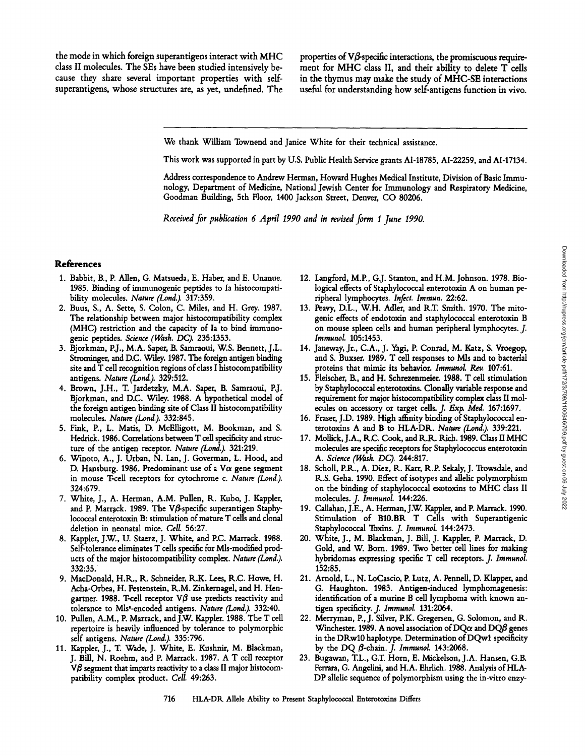the mode in which foreign superantigens interact with MHC class II molecules. The SEs have been studied intensively because they share several important properties with selfsuperantigens, whose structures are, as yet, undefined. The properties of  $V\beta$ -specific interactions, the promiscuous requirement for MHC class II, and their ability to delete T cells in the thymus maymake the study of MHC-SE interactions useful for understanding how self-antigens function in vivo.

We thank William Townend and Janice White for their technical assistance.

This work was supported in part by U.S. Public Health Service grants AI-18785, AI-22259, and AI-17134 .

Address correspondence to Andrew Herman, Howard Hughes Medical Institute, Division of Basic Immunology, Department of Medicine, National Jewish Center for Immunology and Respiratory Medicine, Goodman Building, 5th Floor, <sup>1400</sup> Jackson Street, Denver, CO 80206.

Received for publication 6 April 1990 and in revised form 1 June 1990.

#### References

- 1. Babbit, B., P. Allen, G. Matsueda, E. Haber, and E. Unanue. 12. Langford, M.P., G.J. Stanton, and H.M. Johnson. 1978. Bio-<br>1985. Binding of immunogenic peptides to Ia histocompati- logical effects of Staphylococcal ente bility molecules. Nature (Lond.). 317:359.<br>2. Buus, S., A. Sette, S. Colon, C. Miles, and H. Grey. 1987.
- (MHC) restriction and the capacity of Ia to bind immuno- on mouse spleen ce<br>genic peptides. Science (Wash. DC). 235:1353. Immunol. 105:1453. genic peptides. Science (Wash. DC). 235:1353.<br>3. Bjorkman, P.J., M.A. Saper, B. Samraoui, W.S. Bennett, J.L.
- Strominger, and D.C. Wiley. 1987. The foreign antigen binding and S. Buxser. 1989. T cell responses to Mls and to bact site and T cell recognition regions of class I histocompatibility proteins that mimic its behavior. Imm site and T cell recognition regions of class I histocompatibility<br>antigens. *Nature (Lond.)*. 329:512.
- the foreign antigen binding site of Class II histocompatibility molecules. *Nature (Lond.*). 332:845.
- 5. Fink, P., L. Matis, D. McElligott, M. Bookman, and S. terotoxins A and B to HLA-DR. Nature (Lond.). 339:221.<br>Hedrick. 1986. Correlations between T cell specificity and struc- 17. Mollick, J.A., R.C. Cook, and R.R. Rich. Hedrick. 1986. Correlations between T cell specificity and struc-<br>ture of the antigen receptor. Nature (Lond.). 321:219.
- 6. Winoto, A., J. Urban, N. Lan, J. Goverman, L. Hood, and D. Hansburg. 1986. Predominant use of a V $\alpha$  gene segment in mouse T-cell receptors for cytochrome c. Nature (Lond.).<br>324:679.
- 7. White, J., A. Herman, A.M. Pullen, R. Kubo, J. Kappler, and P. Marrack. 1989. The  $V\beta$ -specific superantigen Staphydeletion in neonatal mice. Cell. 56:27. Staphylococcal Toxins. J. Immunol. 144:2473.<br>8. Kappler, J.W., U. Staerz, J. White, and P.C. Marrack. 1988. 20. White, J., M. Blackman, J. Bill, J. Kappler,
- ucts of the major histocompatibility complex. Nature (Lond.). hybridomas expression of the major hybridomas exp<br>. 152:85  $332:35.$  152:85.
- 9. MacDonald, H.R., R. Schneider, R.K . Lees, R.C. Howe, H. <sup>21</sup> . Arnold, L., N. LoCascio, P. Lutz, A. Pennell, D. Klapper, and gartner. 1988. T-cell receptor  $V\beta$  use predicts reactivity and identification of a murine B cell lymphotolerance to Mls<sup>2</sup>-encoded antigens. Nature (Lond.). 332:40. tigen specificity. *J. Immunol.* 131:2064.
- repertoire is heavily influenced by tolerance to polymorphic self antigens. Nature (Lond.). 335:796.
- 11. Kappler, J., T. Wade, J. White, E. Kushnir, M. Blackman, J. Bill, N. Roehm, and P. Marrack. 1987. A T cell receptor V $\beta$  segment that imparts reactivity to a class II major histocom-<br>patibility complex product. Cell. 49:263.
- logical effects of Staphylococcal enterotoxin A on human pe-<br>ripheral lymphocytes. Infect. Immun. 22:62.
- 2. Buus, S., A. Sette, S. Colon, C. Miles, and H. Grey. <sup>1987</sup> . <sup>13</sup> . Peavy, D.L ., W.H . Adler, and R.T. Smith. <sup>1970</sup> . The mitogenic effects of endotoxin and staphylococcal enterotoxin B on mouse spleen cells and human peripheral lymphocytes. J.
	- 14. Janeway, Jr., C.A., J. Yagi, P. Conrad, M. Katz, S. Vroegop, and S. Buxser. 1989. T cell responses to Mls and to bacterial
- 15. Fleischer, B., and H. Schrezenmeier. 1988. T cell stimulation<br>by Staphylococcal enterotoxins. Clonally variable response and 4. Brown, J.H., T. Jardetzky, M.A. Saper, B. Samraoui, P.J. by Staphylococcal enterotoxins. Clonally variable response and Bjorkman, and D.C. Wiley. 1988. A hypothetical model of requirement for major histocompatibility co Bjorkman, and D.C. Wiley. 1988. A hypothetical model of requirement for major histocompatibility complex class II mo<br>the foreign antigen binding site of Class II histocompatibility ecules on accessory or target cells. *J.* 
	- 16. Fraser, J.D. 1989. High affinity binding of Staphylococcal enterotoxins A and B to HLA-DR. Nature (Lond.). 339:221.
	- molecules are specific receptors for Staphylococcus enterotoxin A. Science (Wash. DC). 244:817.
	- 18. Scholl, P.R., A. Diez, R. Karr, R.P. Sekaly, J. Trowsdale, and<br>R.S. Geha. 1990. Effect of isotypes and allelic polymorphism on the binding of staphylococcal exotoxins to MHC class II molecules. *J. Immunol.* 144:226.
	- and P. Marrack. 1989. The V $\beta$ -specific superantigen Staphy- 19. Callahan, J.E., A. Herman, J.W. Kappler, and P. Marrack. 1990.<br>lococcal enterotoxin B: stimulation of mature T cells and clonal stimulation of B10.BR T Cell lococcal enterotoxin B: stimulation of mature T cells and clonal Stimulation of B10.BR T Cells with Superantigenic<br>deletion in neonatal mice. Cell. 56:27. Staphylococcal Toxins. *J. Immunol*. 144:2473.
	- 20. White, J., M. Blackman, J. Bill, J. Kappler, P. Marrack, D. Gold, and W. Born. 1989. Two better cell lines for making Self-tolerance eliminates T cells specific for Mls-modified prod- Gold, and W. Born. 1989. Two better cell lines for making<br>ucts of the major histocompatibility complex. Nature (Lond.). hybridomas expressing specific T cel
	- G. Haughton. 1983. Antigen-induced lymphomagenesis:<br>identification of a murine B cell lymphoma with known antolerance to Mls<sup>a</sup>-encoded antigens. Nature (Lond.). 332:40. tigen specificity. J. Immunol. 131:2064.<br>Pullen, A.M., P. Marrack, and J.W. Kappler. 1988. The T cell 22. Merryman, P., J. Silver, P.K. Gregersen, G. Solomon, a
- 10. Pullen, A.M., P. Marrack, and J.W. Kappler. 1988. The T cell 22. Merryman, P., J. Silver, P.K. Gregersen, G. Solomon, and R. repertoire is heavily influenced by tolerance to polymorphic Winchester. 1989. A novel associ in the DRw10 haplotype. Determination of DQw1 specificity<br>by the DQ  $\beta$ -chain. J. Immunol. 143:2068.
	- 23. Bugawan, T.L., G.T. Horn, E. Mickelson, J.A. Hansen, G.B.<br>Ferrara, G. Angelini, and H.A. Ehrlich. 1988. Analysis of HLA-DP allelic sequence of polymorphism using the in-vitro enzy-